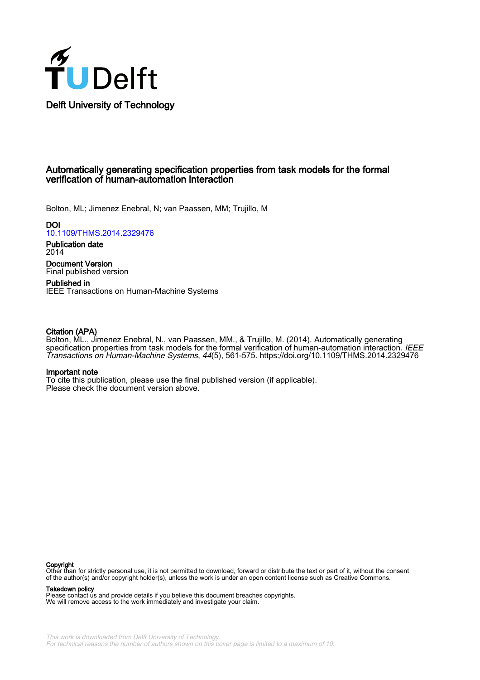

# Automatically generating specification properties from task models for the formal verification of human-automation interaction

Bolton, ML; Jimenez Enebral, N; van Paassen, MM; Trujillo, M

**DOI** [10.1109/THMS.2014.2329476](https://doi.org/10.1109/THMS.2014.2329476)

Publication date 2014

Document Version Final published version

Published in IEEE Transactions on Human-Machine Systems

# Citation (APA)

Bolton, ML., Jimenez Enebral, N., van Paassen, MM., & Trujillo, M. (2014). Automatically generating specification properties from task models for the formal verification of human-automation interaction. IEEE Transactions on Human-Machine Systems, 44(5), 561-575. <https://doi.org/10.1109/THMS.2014.2329476>

# Important note

To cite this publication, please use the final published version (if applicable). Please check the document version above.

#### Copyright

Other than for strictly personal use, it is not permitted to download, forward or distribute the text or part of it, without the consent of the author(s) and/or copyright holder(s), unless the work is under an open content license such as Creative Commons.

## Takedown policy

Please contact us and provide details if you believe this document breaches copyrights. We will remove access to the work immediately and investigate your claim.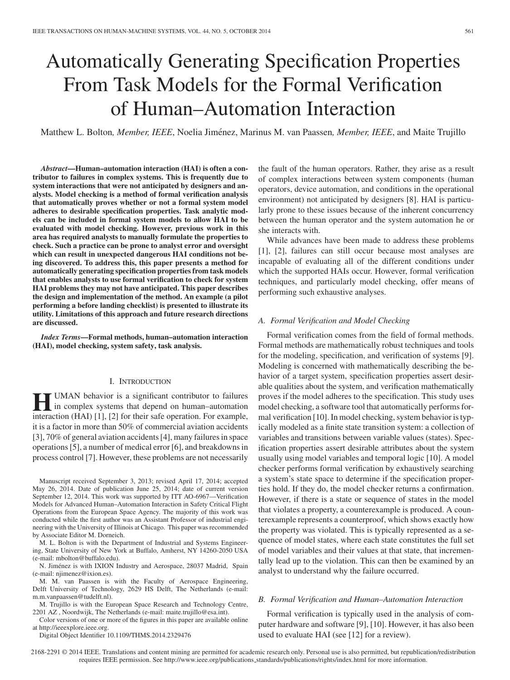# Automatically Generating Specification Properties From Task Models for the Formal Verification of Human–Automation Interaction

Matthew L. Bolton, Member, IEEE, Noelia Jiménez, Marinus M. van Paassen, Member, IEEE, and Maite Trujillo

*Abstract***—Human–automation interaction (HAI) is often a contributor to failures in complex systems. This is frequently due to system interactions that were not anticipated by designers and analysts. Model checking is a method of formal verification analysis that automatically proves whether or not a formal system model adheres to desirable specification properties. Task analytic models can be included in formal system models to allow HAI to be evaluated with model checking. However, previous work in this area has required analysts to manually formulate the properties to check. Such a practice can be prone to analyst error and oversight which can result in unexpected dangerous HAI conditions not being discovered. To address this, this paper presents a method for automatically generating specification properties from task models that enables analysts to use formal verification to check for system HAI problems they may not have anticipated. This paper describes the design and implementation of the method. An example (a pilot performing a before landing checklist) is presented to illustrate its utility. Limitations of this approach and future research directions are discussed.**

*Index Terms***—Formal methods, human–automation interaction (HAI), model checking, system safety, task analysis.**

# I. INTRODUCTION

**HUMAN** behavior is a significant contributor to failures<br>in complex systems that depend on human–automation<br>interaction (HAD 111 [2] for their sete operation. For example interaction (HAI) [1], [2] for their safe operation. For example, it is a factor in more than 50% of commercial aviation accidents [3], 70% of general aviation accidents [4], many failures in space operations [5], a number of medical error [6], and breakdowns in process control [7]. However, these problems are not necessarily

Manuscript received September 3, 2013; revised April 17, 2014; accepted May 26, 2014. Date of publication June 25, 2014; date of current version September 12, 2014. This work was supported by ITT AO-6967—Verification Models for Advanced Human–Automation Interaction in Safety Critical Flight Operations from the European Space Agency. The majority of this work was conducted while the first author was an Assistant Professor of industrial engineering with the University of Illinois at Chicago. This paper was recommended by Associate Editor M. Dorneich.

M. L. Bolton is with the Department of Industrial and Systems Engineering, State University of New York at Buffalo, Amherst, NY 14260-2050 USA (e-mail: mbolton@buffalo.edu).

N. Jiménez is with IXION Industry and Aerospace, 28037 Madrid, Spain (e-mail: njimenez@ixion.es).

M. M. van Paassen is with the Faculty of Aerospace Engineering, Delft University of Technology, 2629 HS Delft, The Netherlands (e-mail: m.m.vanpaassen@tudelft.nl).

M. Trujillo is with the European Space Research and Technology Centre, 2201 AZ , Noordwijk, The Netherlands (e-mail: maite.trujillo@esa.int).

Color versions of one or more of the figures in this paper are available online at http://ieeexplore.ieee.org.

Digital Object Identifier 10.1109/THMS.2014.2329476

the fault of the human operators. Rather, they arise as a result of complex interactions between system components (human operators, device automation, and conditions in the operational environment) not anticipated by designers [8]. HAI is particularly prone to these issues because of the inherent concurrency between the human operator and the system automation he or she interacts with.

While advances have been made to address these problems [1], [2], failures can still occur because most analyses are incapable of evaluating all of the different conditions under which the supported HAIs occur. However, formal verification techniques, and particularly model checking, offer means of performing such exhaustive analyses.

# *A. Formal Verification and Model Checking*

Formal verification comes from the field of formal methods. Formal methods are mathematically robust techniques and tools for the modeling, specification, and verification of systems [9]. Modeling is concerned with mathematically describing the behavior of a target system, specification properties assert desirable qualities about the system, and verification mathematically proves if the model adheres to the specification. This study uses model checking, a software tool that automatically performs formal verification [10]. In model checking, system behavior is typically modeled as a finite state transition system: a collection of variables and transitions between variable values (states). Specification properties assert desirable attributes about the system usually using model variables and temporal logic [10]. A model checker performs formal verification by exhaustively searching a system's state space to determine if the specification properties hold. If they do, the model checker returns a confirmation. However, if there is a state or sequence of states in the model that violates a property, a counterexample is produced. A counterexample represents a counterproof, which shows exactly how the property was violated. This is typically represented as a sequence of model states, where each state constitutes the full set of model variables and their values at that state, that incrementally lead up to the violation. This can then be examined by an analyst to understand why the failure occurred.

# *B. Formal Verification and Human–Automation Interaction*

Formal verification is typically used in the analysis of computer hardware and software [9], [10]. However, it has also been used to evaluate HAI (see [12] for a review).

2168-2291 © 2014 IEEE. Translations and content mining are permitted for academic research only. Personal use is also permitted, but republication/redistribution requires IEEE permission. See http://www.ieee.org/publications standards/publications/rights/index.html for more information.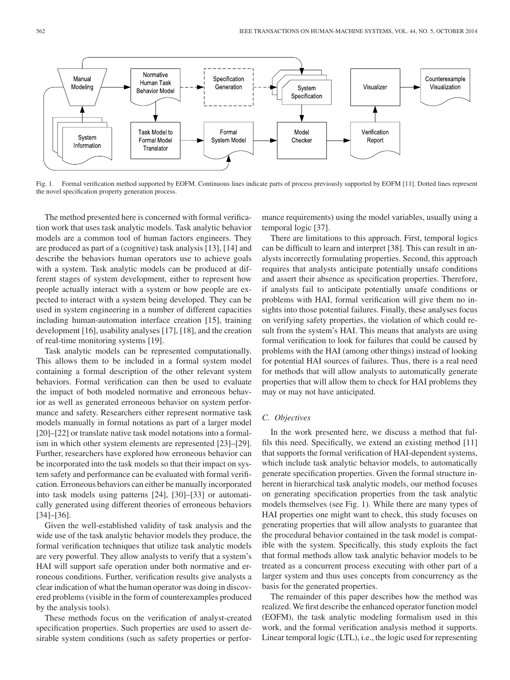

Fig. 1. Formal verification method supported by EOFM. Continuous lines indicate parts of process previously supported by EOFM [11]. Dotted lines represent the novel specification property generation process.

The method presented here is concerned with formal verification work that uses task analytic models. Task analytic behavior models are a common tool of human factors engineers. They are produced as part of a (cognitive) task analysis [13], [14] and describe the behaviors human operators use to achieve goals with a system. Task analytic models can be produced at different stages of system development, either to represent how people actually interact with a system or how people are expected to interact with a system being developed. They can be used in system engineering in a number of different capacities including human-automation interface creation [15], training development [16], usability analyses [17], [18], and the creation of real-time monitoring systems [19].

Task analytic models can be represented computationally. This allows them to be included in a formal system model containing a formal description of the other relevant system behaviors. Formal verification can then be used to evaluate the impact of both modeled normative and erroneous behavior as well as generated erroneous behavior on system performance and safety. Researchers either represent normative task models manually in formal notations as part of a larger model [20]–[22] or translate native task model notations into a formalism in which other system elements are represented [23]–[29]. Further, researchers have explored how erroneous behavior can be incorporated into the task models so that their impact on system safety and performance can be evaluated with formal verification. Erroneous behaviors can either be manually incorporated into task models using patterns [24], [30]–[33] or automatically generated using different theories of erroneous behaviors [34]–[36].

Given the well-established validity of task analysis and the wide use of the task analytic behavior models they produce, the formal verification techniques that utilize task analytic models are very powerful. They allow analysts to verify that a system's HAI will support safe operation under both normative and erroneous conditions. Further, verification results give analysts a clear indication of what the human operator was doing in discovered problems (visible in the form of counterexamples produced by the analysis tools).

These methods focus on the verification of analyst-created specification properties. Such properties are used to assert desirable system conditions (such as safety properties or performance requirements) using the model variables, usually using a temporal logic [37].

There are limitations to this approach. First, temporal logics can be difficult to learn and interpret [38]. This can result in analysts incorrectly formulating properties. Second, this approach requires that analysts anticipate potentially unsafe conditions and assert their absence as specification properties. Therefore, if analysts fail to anticipate potentially unsafe conditions or problems with HAI, formal verification will give them no insights into those potential failures. Finally, these analyses focus on verifying safety properties, the violation of which could result from the system's HAI. This means that analysts are using formal verification to look for failures that could be caused by problems with the HAI (among other things) instead of looking for potential HAI sources of failures. Thus, there is a real need for methods that will allow analysts to automatically generate properties that will allow them to check for HAI problems they may or may not have anticipated.

# *C. Objectives*

In the work presented here, we discuss a method that fulfils this need. Specifically, we extend an existing method [11] that supports the formal verification of HAI-dependent systems, which include task analytic behavior models, to automatically generate specification properties. Given the formal structure inherent in hierarchical task analytic models, our method focuses on generating specification properties from the task analytic models themselves (see Fig. 1). While there are many types of HAI properties one might want to check, this study focuses on generating properties that will allow analysts to guarantee that the procedural behavior contained in the task model is compatible with the system. Specifically, this study exploits the fact that formal methods allow task analytic behavior models to be treated as a concurrent process executing with other part of a larger system and thus uses concepts from concurrency as the basis for the generated properties.

The remainder of this paper describes how the method was realized. We first describe the enhanced operator function model (EOFM), the task analytic modeling formalism used in this work, and the formal verification analysis method it supports. Linear temporal logic (LTL), i.e., the logic used for representing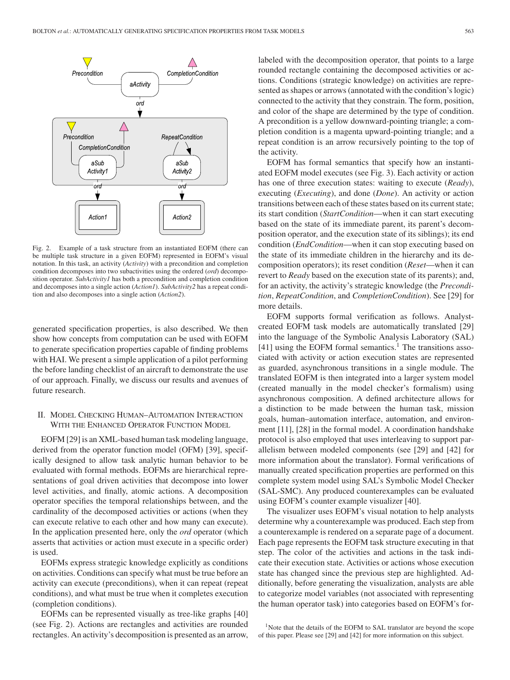

Fig. 2. Example of a task structure from an instantiated EOFM (there can be multiple task structure in a given EOFM) represented in EOFM's visual notation. In this task, an activity (*Activity*) with a precondition and completion condition decomposes into two subactivities using the ordered (*ord*) decomposition operator. *SubActivity1* has both a precondition and completion condition and decomposes into a single action (*Action1*). *SubActivity2* has a repeat condition and also decomposes into a single action (*Action2*).

generated specification properties, is also described. We then show how concepts from computation can be used with EOFM to generate specification properties capable of finding problems with HAI. We present a simple application of a pilot performing the before landing checklist of an aircraft to demonstrate the use of our approach. Finally, we discuss our results and avenues of future research.

# II. MODEL CHECKING HUMAN–AUTOMATION INTERACTION WITH THE ENHANCED OPERATOR FUNCTION MODEL

EOFM [29] is an XML-based human task modeling language, derived from the operator function model (OFM) [39], specifically designed to allow task analytic human behavior to be evaluated with formal methods. EOFMs are hierarchical representations of goal driven activities that decompose into lower level activities, and finally, atomic actions. A decomposition operator specifies the temporal relationships between, and the cardinality of the decomposed activities or actions (when they can execute relative to each other and how many can execute). In the application presented here, only the *ord* operator (which asserts that activities or action must execute in a specific order) is used.

EOFMs express strategic knowledge explicitly as conditions on activities. Conditions can specify what must be true before an activity can execute (preconditions), when it can repeat (repeat conditions), and what must be true when it completes execution (completion conditions).

EOFMs can be represented visually as tree-like graphs [40] (see Fig. 2). Actions are rectangles and activities are rounded rectangles. An activity's decomposition is presented as an arrow, labeled with the decomposition operator, that points to a large rounded rectangle containing the decomposed activities or actions. Conditions (strategic knowledge) on activities are represented as shapes or arrows (annotated with the condition's logic) connected to the activity that they constrain. The form, position, and color of the shape are determined by the type of condition. A precondition is a yellow downward-pointing triangle; a completion condition is a magenta upward-pointing triangle; and a repeat condition is an arrow recursively pointing to the top of the activity.

EOFM has formal semantics that specify how an instantiated EOFM model executes (see Fig. 3). Each activity or action has one of three execution states: waiting to execute (*Ready*), executing (*Executing*), and done (*Done*). An activity or action transitions between each of these states based on its current state; its start condition (*StartCondition*—when it can start executing based on the state of its immediate parent, its parent's decomposition operator, and the execution state of its siblings); its end condition (*EndCondition*—when it can stop executing based on the state of its immediate children in the hierarchy and its decomposition operators); its reset condition (*Reset*—when it can revert to *Ready* based on the execution state of its parents); and, for an activity, the activity's strategic knowledge (the *Precondition*, *RepeatCondition*, and *CompletionCondition*). See [29] for more details.

EOFM supports formal verification as follows. Analystcreated EOFM task models are automatically translated [29] into the language of the Symbolic Analysis Laboratory (SAL)  $[41]$  using the EOFM formal semantics.<sup>1</sup> The transitions associated with activity or action execution states are represented as guarded, asynchronous transitions in a single module. The translated EOFM is then integrated into a larger system model (created manually in the model checker's formalism) using asynchronous composition. A defined architecture allows for a distinction to be made between the human task, mission goals, human–automation interface, automation, and environment [11], [28] in the formal model. A coordination handshake protocol is also employed that uses interleaving to support parallelism between modeled components (see [29] and [42] for more information about the translator). Formal verifications of manually created specification properties are performed on this complete system model using SAL's Symbolic Model Checker (SAL-SMC). Any produced counterexamples can be evaluated using EOFM's counter example visualizer [40].

The visualizer uses EOFM's visual notation to help analysts determine why a counterexample was produced. Each step from a counterexample is rendered on a separate page of a document. Each page represents the EOFM task structure executing in that step. The color of the activities and actions in the task indicate their execution state. Activities or actions whose execution state has changed since the previous step are highlighted. Additionally, before generating the visualization, analysts are able to categorize model variables (not associated with representing the human operator task) into categories based on EOFM's for-

<sup>&</sup>lt;sup>1</sup>Note that the details of the EOFM to SAL translator are beyond the scope of this paper. Please see [29] and [42] for more information on this subject.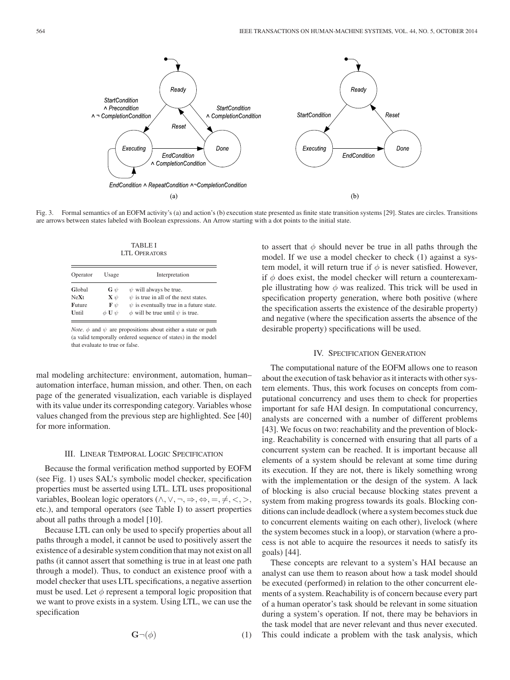

Fig. 3. Formal semantics of an EOFM activity's (a) and action's (b) execution state presented as finite state transition systems [29]. States are circles. Transitions are arrows between states labeled with Boolean expressions. An Arrow starting with a dot points to the initial state.

TABLE I LTL OPERATORS

| Operator | Usage                  | Interpretation                               |
|----------|------------------------|----------------------------------------------|
| Global   | $\mathbf{G} \psi$      | $\psi$ will always be true.                  |
| NeXt     | $\mathbf{X} \psi$      | $\psi$ is true in all of the next states.    |
| Future   | $\mathbf{F} \psi$      | $\psi$ is eventually true in a future state. |
| Until    | $\phi \mathbf{U} \psi$ | $\phi$ will be true until $\psi$ is true.    |

*Note*.  $\phi$  and  $\psi$  are propositions about either a state or path (a valid temporally ordered sequence of states) in the model that evaluate to true or false.

mal modeling architecture: environment, automation, human– automation interface, human mission, and other. Then, on each page of the generated visualization, each variable is displayed with its value under its corresponding category. Variables whose values changed from the previous step are highlighted. See [40] for more information.

# III. LINEAR TEMPORAL LOGIC SPECIFICATION

Because the formal verification method supported by EOFM (see Fig. 1) uses SAL's symbolic model checker, specification properties must be asserted using LTL. LTL uses propositional variables, Boolean logic operators  $(\wedge, \vee, \neg, \Rightarrow, \Leftrightarrow, =, \neq, \leq, >)$ etc.), and temporal operators (see Table I) to assert properties about all paths through a model [10].

Because LTL can only be used to specify properties about all paths through a model, it cannot be used to positively assert the existence of a desirable system condition that may not exist on all paths (it cannot assert that something is true in at least one path through a model). Thus, to conduct an existence proof with a model checker that uses LTL specifications, a negative assertion must be used. Let  $\phi$  represent a temporal logic proposition that we want to prove exists in a system. Using LTL, we can use the specification

$$
\mathbf{G}\neg(\phi) \tag{1}
$$

to assert that  $\phi$  should never be true in all paths through the model. If we use a model checker to check (1) against a system model, it will return true if  $\phi$  is never satisfied. However, if  $\phi$  does exist, the model checker will return a counterexample illustrating how  $\phi$  was realized. This trick will be used in specification property generation, where both positive (where the specification asserts the existence of the desirable property) and negative (where the specification asserts the absence of the desirable property) specifications will be used.

# IV. SPECIFICATION GENERATION

The computational nature of the EOFM allows one to reason about the execution of task behavior as it interacts with other system elements. Thus, this work focuses on concepts from computational concurrency and uses them to check for properties important for safe HAI design. In computational concurrency, analysts are concerned with a number of different problems [43]. We focus on two: reachability and the prevention of blocking. Reachability is concerned with ensuring that all parts of a concurrent system can be reached. It is important because all elements of a system should be relevant at some time during its execution. If they are not, there is likely something wrong with the implementation or the design of the system. A lack of blocking is also crucial because blocking states prevent a system from making progress towards its goals. Blocking conditions can include deadlock (where a system becomes stuck due to concurrent elements waiting on each other), livelock (where the system becomes stuck in a loop), or starvation (where a process is not able to acquire the resources it needs to satisfy its goals) [44].

These concepts are relevant to a system's HAI because an analyst can use them to reason about how a task model should be executed (performed) in relation to the other concurrent elements of a system. Reachability is of concern because every part of a human operator's task should be relevant in some situation during a system's operation. If not, there may be behaviors in the task model that are never relevant and thus never executed. This could indicate a problem with the task analysis, which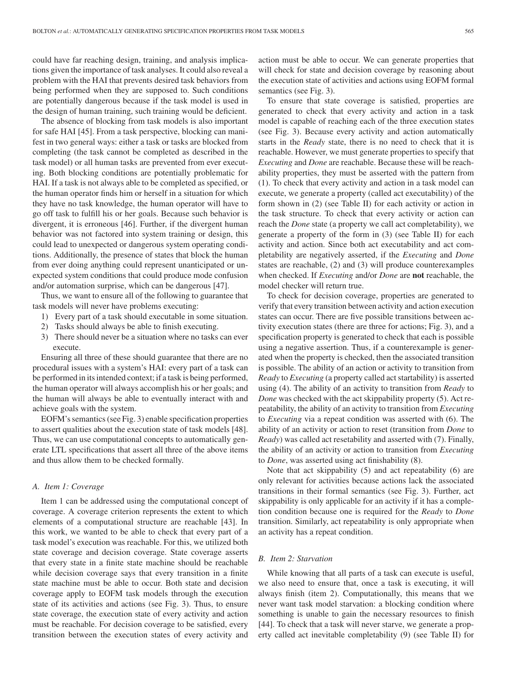could have far reaching design, training, and analysis implications given the importance of task analyses. It could also reveal a problem with the HAI that prevents desired task behaviors from being performed when they are supposed to. Such conditions are potentially dangerous because if the task model is used in the design of human training, such training would be deficient.

The absence of blocking from task models is also important for safe HAI [45]. From a task perspective, blocking can manifest in two general ways: either a task or tasks are blocked from completing (the task cannot be completed as described in the task model) or all human tasks are prevented from ever executing. Both blocking conditions are potentially problematic for HAI. If a task is not always able to be completed as specified, or the human operator finds him or herself in a situation for which they have no task knowledge, the human operator will have to go off task to fulfill his or her goals. Because such behavior is divergent, it is erroneous [46]. Further, if the divergent human behavior was not factored into system training or design, this could lead to unexpected or dangerous system operating conditions. Additionally, the presence of states that block the human from ever doing anything could represent unanticipated or unexpected system conditions that could produce mode confusion and/or automation surprise, which can be dangerous [47].

Thus, we want to ensure all of the following to guarantee that task models will never have problems executing:

- 1) Every part of a task should executable in some situation.
- 2) Tasks should always be able to finish executing.
- 3) There should never be a situation where no tasks can ever execute.

Ensuring all three of these should guarantee that there are no procedural issues with a system's HAI: every part of a task can be performed in its intended context; if a task is being performed, the human operator will always accomplish his or her goals; and the human will always be able to eventually interact with and achieve goals with the system.

EOFM's semantics (see Fig. 3) enable specification properties to assert qualities about the execution state of task models [48]. Thus, we can use computational concepts to automatically generate LTL specifications that assert all three of the above items and thus allow them to be checked formally.

# *A. Item 1: Coverage*

Item 1 can be addressed using the computational concept of coverage. A coverage criterion represents the extent to which elements of a computational structure are reachable [43]. In this work, we wanted to be able to check that every part of a task model's execution was reachable. For this, we utilized both state coverage and decision coverage. State coverage asserts that every state in a finite state machine should be reachable while decision coverage says that every transition in a finite state machine must be able to occur. Both state and decision coverage apply to EOFM task models through the execution state of its activities and actions (see Fig. 3). Thus, to ensure state coverage, the execution state of every activity and action must be reachable. For decision coverage to be satisfied, every transition between the execution states of every activity and

action must be able to occur. We can generate properties that will check for state and decision coverage by reasoning about the execution state of activities and actions using EOFM formal semantics (see Fig. 3).

To ensure that state coverage is satisfied, properties are generated to check that every activity and action in a task model is capable of reaching each of the three execution states (see Fig. 3). Because every activity and action automatically starts in the *Ready* state, there is no need to check that it is reachable. However, we must generate properties to specify that *Executing* and *Done* are reachable. Because these will be reachability properties, they must be asserted with the pattern from (1). To check that every activity and action in a task model can execute, we generate a property (called act executability) of the form shown in (2) (see Table II) for each activity or action in the task structure. To check that every activity or action can reach the *Done* state (a property we call act completability), we generate a property of the form in (3) (see Table II) for each activity and action. Since both act executability and act completability are negatively asserted, if the *Executing* and *Done* states are reachable, (2) and (3) will produce counterexamples when checked. If *Executing* and/or *Done* are **not** reachable, the model checker will return true.

To check for decision coverage, properties are generated to verify that every transition between activity and action execution states can occur. There are five possible transitions between activity execution states (there are three for actions; Fig. 3), and a specification property is generated to check that each is possible using a negative assertion. Thus, if a counterexample is generated when the property is checked, then the associated transition is possible. The ability of an action or activity to transition from *Ready* to *Executing* (a property called act startability) is asserted using (4). The ability of an activity to transition from *Ready* to *Done* was checked with the act skippability property (5). Act repeatability, the ability of an activity to transition from *Executing* to *Executing* via a repeat condition was asserted with (6). The ability of an activity or action to reset (transition from *Done* to *Ready*) was called act resetability and asserted with (7). Finally, the ability of an activity or action to transition from *Executing* to *Done*, was asserted using act finishability (8).

Note that act skippability (5) and act repeatability (6) are only relevant for activities because actions lack the associated transitions in their formal semantics (see Fig. 3). Further, act skippability is only applicable for an activity if it has a completion condition because one is required for the *Ready* to *Done* transition. Similarly, act repeatability is only appropriate when an activity has a repeat condition.

#### *B. Item 2: Starvation*

While knowing that all parts of a task can execute is useful, we also need to ensure that, once a task is executing, it will always finish (item 2). Computationally, this means that we never want task model starvation: a blocking condition where something is unable to gain the necessary resources to finish [44]. To check that a task will never starve, we generate a property called act inevitable completability (9) (see Table II) for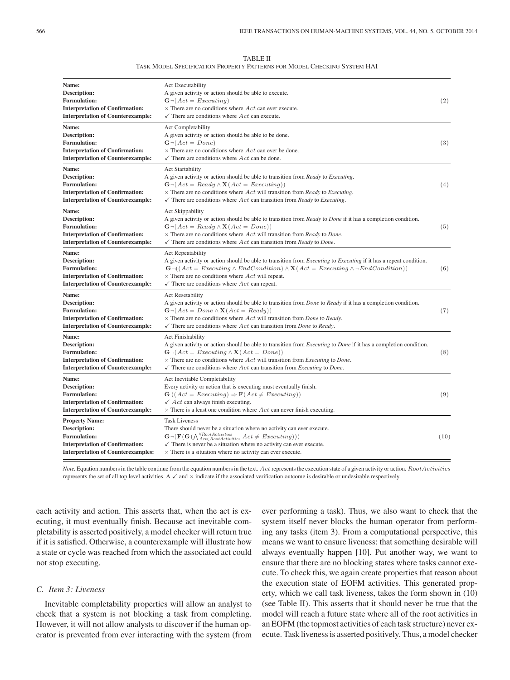| TABLE II                                                                 |
|--------------------------------------------------------------------------|
| TASK MODEL SPECIFICATION PROPERTY PATTERNS FOR MODEL CHECKING SYSTEM HAI |

| Name:<br><b>Description:</b><br><b>Formulation:</b><br><b>Interpretation of Confirmation:</b><br><b>Interpretation of Counterexample:</b><br>Name:  | Act Executability<br>A given activity or action should be able to execute.<br>$\mathbf{G} \neg (Act = Executing)$<br>$\times$ There are no conditions where $Act$ can ever execute.<br>$\sqrt{\ }$ There are conditions where $Act$ can execute.<br><b>Act Completability</b>                                                                                                                                                                                          | (2)  |
|-----------------------------------------------------------------------------------------------------------------------------------------------------|------------------------------------------------------------------------------------------------------------------------------------------------------------------------------------------------------------------------------------------------------------------------------------------------------------------------------------------------------------------------------------------------------------------------------------------------------------------------|------|
| Description:<br><b>Formulation:</b><br><b>Interpretation of Confirmation:</b><br><b>Interpretation of Counterexample:</b>                           | A given activity or action should be able to be done.<br>$\mathbf{G} \neg (Act = Done)$<br>$\times$ There are no conditions where $Act$ can ever be done.<br>$\sqrt{\ }$ There are conditions where $Act$ can be done.                                                                                                                                                                                                                                                 | (3)  |
| Name:<br><b>Description:</b><br><b>Formulation:</b><br><b>Interpretation of Confirmation:</b><br><b>Interpretation of Counterexample:</b>           | <b>Act Startability</b><br>A given activity or action should be able to transition from Ready to Executing.<br>$\mathbf{G} \neg (Act = Ready \land \mathbf{X} (Act = Executing))$<br>$\times$ There are no conditions where $Act$ will transition from Ready to Executing.<br>$\sqrt{\ }$ There are conditions where $Act$ can transition from Ready to Executing.                                                                                                     | (4)  |
| Name:<br><b>Description:</b><br><b>Formulation:</b><br><b>Interpretation of Confirmation:</b><br><b>Interpretation of Counterexample:</b>           | Act Skippability<br>A given activity or action should be able to transition from <i>Ready</i> to <i>Done</i> if it has a completion condition.<br>$\mathbf{G} \neg (Act = Ready \land \mathbf{X} (Act = Done))$<br>$\times$ There are no conditions where $Act$ will transition from Ready to Done.<br>$\sqrt{\ }$ There are conditions where $Act$ can transition from Ready to Done.                                                                                 | (5)  |
| Name:<br>Description:<br><b>Formulation:</b><br><b>Interpretation of Confirmation:</b><br><b>Interpretation of Counterexample:</b>                  | Act Repeatability<br>A given activity or action should be able to transition from <i>Executing</i> to <i>Executing</i> if it has a repeat condition.<br>$\mathbf{G} \neg((Act = Executive \land EndCondition) \land \mathbf{X}(Act = Executive \land \neg EndCondition))$<br>$\times$ There are no conditions where $Act$ will repeat.<br>$\sqrt{\ }$ There are conditions where $Act$ can repeat.                                                                     | (6)  |
| Name:<br>Description:<br><b>Formulation:</b><br><b>Interpretation of Confirmation:</b><br><b>Interpretation of Counterexample:</b>                  | <b>Act Resetability</b><br>A given activity or action should be able to transition from <i>Done</i> to Ready if it has a completion condition.<br>$\mathbf{G} \neg (Act = Done \wedge \mathbf{X} (Act = Ready))$<br>$\times$ There are no conditions where $Act$ will transition from <i>Done</i> to <i>Ready</i> .<br>$\sqrt{\ }$ There are conditions where $Act$ can transition from <i>Done</i> to <i>Ready</i> .                                                  | (7)  |
| Name:<br><b>Description:</b><br><b>Formulation:</b><br><b>Interpretation of Confirmation:</b><br><b>Interpretation of Counterexample:</b>           | Act Finishability<br>A given activity or action should be able to transition from <i>Executing</i> to <i>Done</i> if it has a completion condition.<br>$\mathbf{G} \neg (Act = Executive \land \mathbf{X}(Act = Done))$<br>$\times$ There are no conditions where $Act$ will transition from <i>Executing</i> to <i>Done</i> .<br>$\sqrt{\ }$ There are conditions where $Act$ can transition from <i>Executing</i> to <i>Done</i> .                                   | (8)  |
| Name:<br>Description:<br><b>Formulation:</b><br><b>Interpretation of Confirmation:</b><br><b>Interpretation of Counterexample:</b>                  | Act Inevitable Completability<br>Every activity or action that is executing must eventually finish.<br>$\mathbf{G}((Act = Executive) \Rightarrow \mathbf{F}(Act \neq Executive)$<br>$\sqrt{Act}$ can always finish executing.<br>$\times$ There is a least one condition where $Act$ can never finish executing.                                                                                                                                                       | (9)  |
| <b>Property Name:</b><br>Description:<br><b>Formulation:</b><br><b>Interpretation of Confirmation:</b><br><b>Interpretation of Counterexamples:</b> | <b>Task Liveness</b><br>There should never be a situation where no activity can ever execute.<br>$\mathbf{G} \neg (\mathbf{F}(\mathbf{G}(\textcolor{red}{\bigwedge}\hspace{-0.1cm} \substack{\forall \textit{RootActivity} \\ \textit{Act} \in \textit{RootActivity}} \textit{Act} \neq \textit{Executiong})))$<br>$\checkmark$ There is never be a situation where no activity can ever execute.<br>$\times$ There is a situation where no activity can ever execute. | (10) |

*Note.* Equation numbers in the table continue from the equation numbers in the text. Act represents the execution state of a given activity or action. RootActivities represents the set of all top level activities. A  $\checkmark$  and  $\times$  indicate if the associated verification outcome is desirable or undesirable respectively.

each activity and action. This asserts that, when the act is executing, it must eventually finish. Because act inevitable completability is asserted positively, a model checker will return true if it is satisfied. Otherwise, a counterexample will illustrate how a state or cycle was reached from which the associated act could not stop executing.

# *C. Item 3: Liveness*

Inevitable completability properties will allow an analyst to check that a system is not blocking a task from completing. However, it will not allow analysts to discover if the human operator is prevented from ever interacting with the system (from

ever performing a task). Thus, we also want to check that the system itself never blocks the human operator from performing any tasks (item 3). From a computational perspective, this means we want to ensure liveness: that something desirable will always eventually happen [10]. Put another way, we want to ensure that there are no blocking states where tasks cannot execute. To check this, we again create properties that reason about the execution state of EOFM activities. This generated property, which we call task liveness, takes the form shown in (10) (see Table II). This asserts that it should never be true that the model will reach a future state where all of the root activities in an EOFM (the topmost activities of each task structure) never execute. Task liveness is asserted positively. Thus, a model checker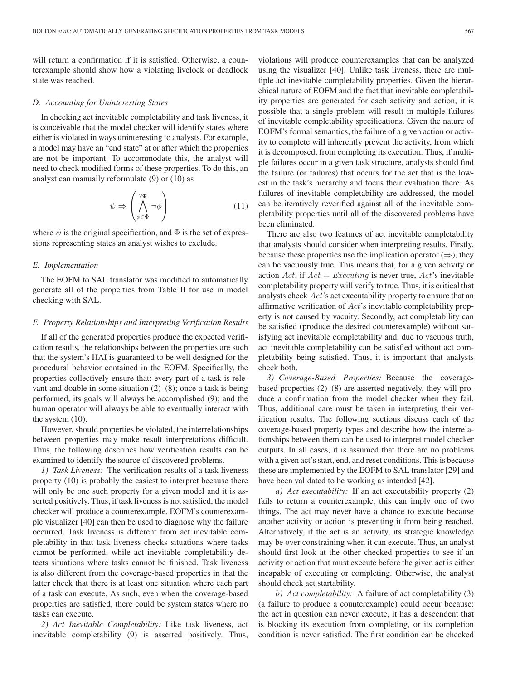will return a confirmation if it is satisfied. Otherwise, a counterexample should show how a violating livelock or deadlock state was reached.

#### *D. Accounting for Uninteresting States*

In checking act inevitable completability and task liveness, it is conceivable that the model checker will identify states where either is violated in ways uninteresting to analysts. For example, a model may have an "end state" at or after which the properties are not be important. To accommodate this, the analyst will need to check modified forms of these properties. To do this, an analyst can manually reformulate (9) or (10) as

$$
\psi \Rightarrow \left(\bigwedge_{\phi \in \Phi}^{\forall \Phi} \neg \phi\right) \tag{11}
$$

where  $\psi$  is the original specification, and  $\Phi$  is the set of expressions representing states an analyst wishes to exclude.

# *E. Implementation*

The EOFM to SAL translator was modified to automatically generate all of the properties from Table II for use in model checking with SAL.

#### *F. Property Relationships and Interpreting Verification Results*

If all of the generated properties produce the expected verification results, the relationships between the properties are such that the system's HAI is guaranteed to be well designed for the procedural behavior contained in the EOFM. Specifically, the properties collectively ensure that: every part of a task is relevant and doable in some situation (2)–(8); once a task is being performed, its goals will always be accomplished (9); and the human operator will always be able to eventually interact with the system (10).

However, should properties be violated, the interrelationships between properties may make result interpretations difficult. Thus, the following describes how verification results can be examined to identify the source of discovered problems.

*1) Task Liveness:* The verification results of a task liveness property (10) is probably the easiest to interpret because there will only be one such property for a given model and it is asserted positively. Thus, if task liveness is not satisfied, the model checker will produce a counterexample. EOFM's counterexample visualizer [40] can then be used to diagnose why the failure occurred. Task liveness is different from act inevitable completability in that task liveness checks situations where tasks cannot be performed, while act inevitable completability detects situations where tasks cannot be finished. Task liveness is also different from the coverage-based properties in that the latter check that there is at least one situation where each part of a task can execute. As such, even when the coverage-based properties are satisfied, there could be system states where no tasks can execute.

*2) Act Inevitable Completability:* Like task liveness, act inevitable completability (9) is asserted positively. Thus,

violations will produce counterexamples that can be analyzed using the visualizer [40]. Unlike task liveness, there are multiple act inevitable completability properties. Given the hierarchical nature of EOFM and the fact that inevitable completability properties are generated for each activity and action, it is possible that a single problem will result in multiple failures of inevitable completability specifications. Given the nature of EOFM's formal semantics, the failure of a given action or activity to complete will inherently prevent the activity, from which it is decomposed, from completing its execution. Thus, if multiple failures occur in a given task structure, analysts should find the failure (or failures) that occurs for the act that is the lowest in the task's hierarchy and focus their evaluation there. As failures of inevitable completability are addressed, the model can be iteratively reverified against all of the inevitable completability properties until all of the discovered problems have been eliminated.

There are also two features of act inevitable completability that analysts should consider when interpreting results. Firstly, because these properties use the implication operator  $(\Rightarrow)$ , they can be vacuously true. This means that, for a given activity or action Act, if  $Act = Executive$  is never true, Act's inevitable completability property will verify to true. Thus, it is critical that analysts check Act's act executability property to ensure that an affirmative verification of Act's inevitable completability property is not caused by vacuity. Secondly, act completability can be satisfied (produce the desired counterexample) without satisfying act inevitable completability and, due to vacuous truth, act inevitable completability can be satisfied without act completability being satisfied. Thus, it is important that analysts check both.

*3) Coverage-Based Properties:* Because the coveragebased properties (2)–(8) are asserted negatively, they will produce a confirmation from the model checker when they fail. Thus, additional care must be taken in interpreting their verification results. The following sections discuss each of the coverage-based property types and describe how the interrelationships between them can be used to interpret model checker outputs. In all cases, it is assumed that there are no problems with a given act's start, end, and reset conditions. This is because these are implemented by the EOFM to SAL translator [29] and have been validated to be working as intended [42].

*a) Act executability:* If an act executability property (2) fails to return a counterexample, this can imply one of two things. The act may never have a chance to execute because another activity or action is preventing it from being reached. Alternatively, if the act is an activity, its strategic knowledge may be over constraining when it can execute. Thus, an analyst should first look at the other checked properties to see if an activity or action that must execute before the given act is either incapable of executing or completing. Otherwise, the analyst should check act startability.

*b) Act completability:* A failure of act completability (3) (a failure to produce a counterexample) could occur because: the act in question can never execute, it has a descendent that is blocking its execution from completing, or its completion condition is never satisfied. The first condition can be checked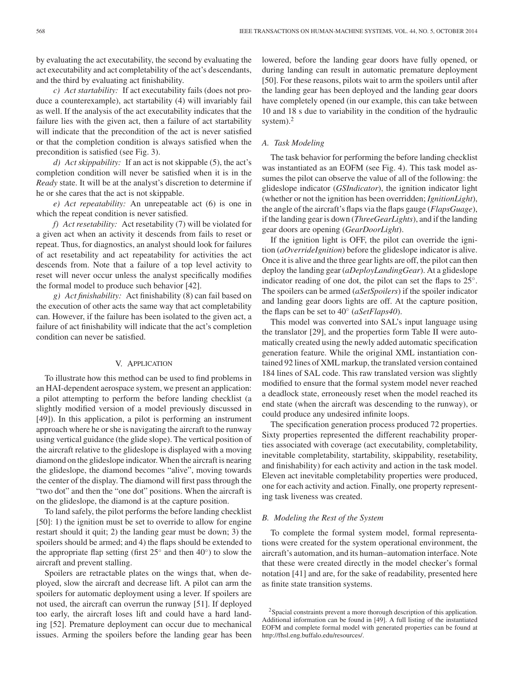by evaluating the act executability, the second by evaluating the act executability and act completability of the act's descendants, and the third by evaluating act finishability.

*c) Act startability:* If act executability fails (does not produce a counterexample), act startability (4) will invariably fail as well. If the analysis of the act executability indicates that the failure lies with the given act, then a failure of act startability will indicate that the precondition of the act is never satisfied or that the completion condition is always satisfied when the precondition is satisfied (see Fig. 3).

*d) Act skippability:* If an act is not skippable (5), the act's completion condition will never be satisfied when it is in the *Ready* state. It will be at the analyst's discretion to determine if he or she cares that the act is not skippable.

*e) Act repeatability:* An unrepeatable act (6) is one in which the repeat condition is never satisfied.

*f) Act resetability:* Act resetability (7) will be violated for a given act when an activity it descends from fails to reset or repeat. Thus, for diagnostics, an analyst should look for failures of act resetability and act repeatability for activities the act descends from. Note that a failure of a top level activity to reset will never occur unless the analyst specifically modifies the formal model to produce such behavior [42].

*g) Act finishability:* Act finishability (8) can fail based on the execution of other acts the same way that act completability can. However, if the failure has been isolated to the given act, a failure of act finishability will indicate that the act's completion condition can never be satisfied.

# V. APPLICATION

To illustrate how this method can be used to find problems in an HAI-dependent aerospace system, we present an application: a pilot attempting to perform the before landing checklist (a slightly modified version of a model previously discussed in [49]). In this application, a pilot is performing an instrument approach where he or she is navigating the aircraft to the runway using vertical guidance (the glide slope). The vertical position of the aircraft relative to the glideslope is displayed with a moving diamond on the glideslope indicator. When the aircraft is nearing the glideslope, the diamond becomes "alive", moving towards the center of the display. The diamond will first pass through the "two dot" and then the "one dot" positions. When the aircraft is on the glideslope, the diamond is at the capture position.

To land safely, the pilot performs the before landing checklist [50]: 1) the ignition must be set to override to allow for engine restart should it quit; 2) the landing gear must be down; 3) the spoilers should be armed; and 4) the flaps should be extended to the appropriate flap setting (first 25◦ and then 40◦) to slow the aircraft and prevent stalling.

Spoilers are retractable plates on the wings that, when deployed, slow the aircraft and decrease lift. A pilot can arm the spoilers for automatic deployment using a lever. If spoilers are not used, the aircraft can overrun the runway [51]. If deployed too early, the aircraft loses lift and could have a hard landing [52]. Premature deployment can occur due to mechanical issues. Arming the spoilers before the landing gear has been

lowered, before the landing gear doors have fully opened, or during landing can result in automatic premature deployment [50]. For these reasons, pilots wait to arm the spoilers until after the landing gear has been deployed and the landing gear doors have completely opened (in our example, this can take between 10 and 18 s due to variability in the condition of the hydraulic system).<sup>2</sup>

# *A. Task Modeling*

The task behavior for performing the before landing checklist was instantiated as an EOFM (see Fig. 4). This task model assumes the pilot can observe the value of all of the following: the glideslope indicator (*GSIndicator*), the ignition indicator light (whether or not the ignition has been overridden; *IgnitionLight*), the angle of the aircraft's flaps via the flaps gauge (*FlapsGuage*), if the landing gear is down (*ThreeGearLights*), and if the landing gear doors are opening (*GearDoorLight*).

If the ignition light is OFF, the pilot can override the ignition (*aOverrideIgnition*) before the glideslope indicator is alive. Once it is alive and the three gear lights are off, the pilot can then deploy the landing gear (*aDeployLandingGear*). At a glideslope indicator reading of one dot, the pilot can set the flaps to 25◦. The spoilers can be armed (*aSetSpoilers*) if the spoiler indicator and landing gear doors lights are off. At the capture position, the flaps can be set to 40◦ (*aSetFlaps40*).

This model was converted into SAL's input language using the translator [29], and the properties form Table II were automatically created using the newly added automatic specification generation feature. While the original XML instantiation contained 92 lines of XML markup, the translated version contained 184 lines of SAL code. This raw translated version was slightly modified to ensure that the formal system model never reached a deadlock state, erroneously reset when the model reached its end state (when the aircraft was descending to the runway), or could produce any undesired infinite loops.

The specification generation process produced 72 properties. Sixty properties represented the different reachability properties associated with coverage (act executability, completability, inevitable completability, startability, skippability, resetability, and finishability) for each activity and action in the task model. Eleven act inevitable completability properties were produced, one for each activity and action. Finally, one property representing task liveness was created.

#### *B. Modeling the Rest of the System*

To complete the formal system model, formal representations were created for the system operational environment, the aircraft's automation, and its human–automation interface. Note that these were created directly in the model checker's formal notation [41] and are, for the sake of readability, presented here as finite state transition systems.

<sup>&</sup>lt;sup>2</sup>Spacial constraints prevent a more thorough description of this application. Additional information can be found in [49]. A full listing of the instantiated EOFM and complete formal model with generated properties can be found at http://fhsl.eng.buffalo.edu/resources/.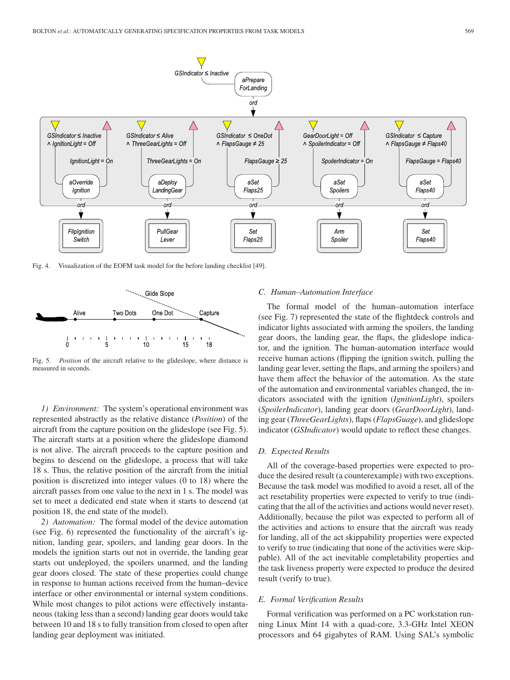

Fig. 4. Visualization of the EOFM task model for the before landing checklist [49].



Fig. 5. *Position* of the aircraft relative to the glideslope, where distance is measured in seconds.

*1) Environment:* The system's operational environment was represented abstractly as the relative distance (*Position*) of the aircraft from the capture position on the glideslope (see Fig. 5). The aircraft starts at a position where the glideslope diamond is not alive. The aircraft proceeds to the capture position and begins to descend on the glideslope, a process that will take 18 s. Thus, the relative position of the aircraft from the initial position is discretized into integer values (0 to 18) where the aircraft passes from one value to the next in 1 s. The model was set to meet a dedicated end state when it starts to descend (at position 18, the end state of the model).

*2) Automation:* The formal model of the device automation (see Fig. 6) represented the functionality of the aircraft's ignition, landing gear, spoilers, and landing gear doors. In the models the ignition starts out not in override, the landing gear starts out undeployed, the spoilers unarmed, and the landing gear doors closed. The state of these properties could change in response to human actions received from the human–device interface or other environmental or internal system conditions. While most changes to pilot actions were effectively instantaneous (taking less than a second) landing gear doors would take between 10 and 18 s to fully transition from closed to open after landing gear deployment was initiated.

#### *C. Human–Automation Interface*

The formal model of the human–automation interface (see Fig. 7) represented the state of the flightdeck controls and indicator lights associated with arming the spoilers, the landing gear doors, the landing gear, the flaps, the glideslope indicator, and the ignition. The human-automation interface would receive human actions (flipping the ignition switch, pulling the landing gear lever, setting the flaps, and arming the spoilers) and have them affect the behavior of the automation. As the state of the automation and environmental variables changed, the indicators associated with the ignition (*IgnitionLight*), spoilers (*SpoilerIndicator*), landing gear doors (*GearDoorLight*), landing gear (*ThreeGearLights*), flaps (*FlapsGuage*), and glideslope indicator (*GSIndicator*) would update to reflect these changes.

# *D. Expected Results*

All of the coverage-based properties were expected to produce the desired result (a counterexample) with two exceptions. Because the task model was modified to avoid a reset, all of the act resetability properties were expected to verify to true (indicating that the all of the activities and actions would never reset). Additionally, because the pilot was expected to perform all of the activities and actions to ensure that the aircraft was ready for landing, all of the act skippability properties were expected to verify to true (indicating that none of the activities were skippable). All of the act inevitable completability properties and the task liveness property were expected to produce the desired result (verify to true).

# *E. Formal Verification Results*

Formal verification was performed on a PC workstation running Linux Mint 14 with a quad-core, 3.3-GHz Intel XEON processors and 64 gigabytes of RAM. Using SAL's symbolic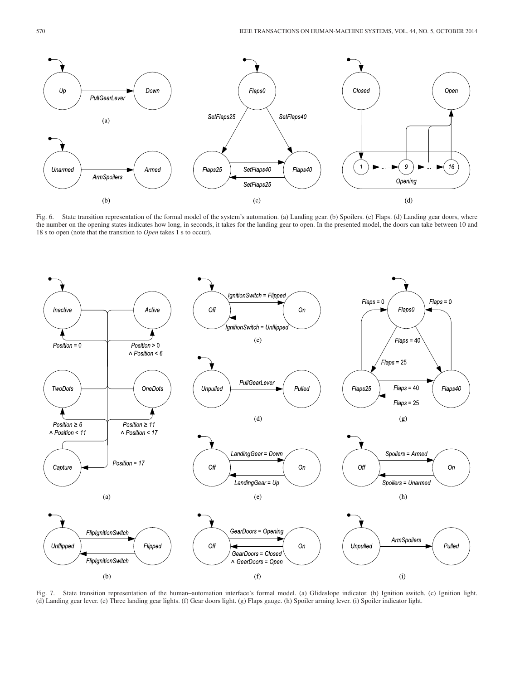

Fig. 6. State transition representation of the formal model of the system's automation. (a) Landing gear. (b) Spoilers. (c) Flaps. (d) Landing gear doors, where the number on the opening states indicates how long, in seconds, it takes for the landing gear to open. In the presented model, the doors can take between 10 and 18 s to open (note that the transition to *Open* takes 1 s to occur).



Fig. 7. State transition representation of the human–automation interface's formal model. (a) Glideslope indicator. (b) Ignition switch. (c) Ignition light. (d) Landing gear lever. (e) Three landing gear lights. (f) Gear doors light. (g) Flaps gauge. (h) Spoiler arming lever. (i) Spoiler indicator light.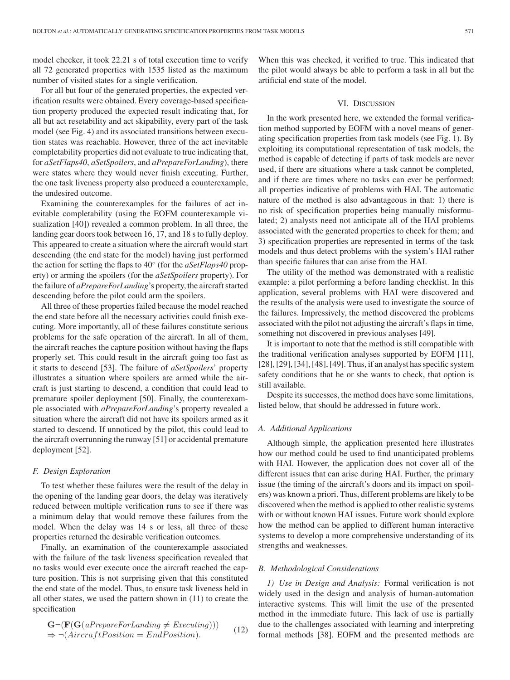model checker, it took 22.21 s of total execution time to verify all 72 generated properties with 1535 listed as the maximum number of visited states for a single verification.

For all but four of the generated properties, the expected verification results were obtained. Every coverage-based specification property produced the expected result indicating that, for all but act resetability and act skipability, every part of the task model (see Fig. 4) and its associated transitions between execution states was reachable. However, three of the act inevitable completability properties did not evaluate to true indicating that, for *aSetFlaps40*, *aSetSpoilers*, and *aPrepareForLanding*), there were states where they would never finish executing. Further, the one task liveness property also produced a counterexample, the undesired outcome.

Examining the counterexamples for the failures of act inevitable completability (using the EOFM counterexample visualization [40]) revealed a common problem. In all three, the landing gear doors took between 16, 17, and 18 s to fully deploy. This appeared to create a situation where the aircraft would start descending (the end state for the model) having just performed the action for setting the flaps to 40◦ (for the *aSetFlaps40* property) or arming the spoilers (for the *aSetSpoilers* property). For the failure of *aPrepareForLanding*'s property, the aircraft started descending before the pilot could arm the spoilers.

All three of these properties failed because the model reached the end state before all the necessary activities could finish executing. More importantly, all of these failures constitute serious problems for the safe operation of the aircraft. In all of them, the aircraft reaches the capture position without having the flaps properly set. This could result in the aircraft going too fast as it starts to descend [53]. The failure of *aSetSpoilers*' property illustrates a situation where spoilers are armed while the aircraft is just starting to descend, a condition that could lead to premature spoiler deployment [50]. Finally, the counterexample associated with *aPrepareForLanding*'s property revealed a situation where the aircraft did not have its spoilers armed as it started to descend. If unnoticed by the pilot, this could lead to the aircraft overrunning the runway [51] or accidental premature deployment [52].

# *F. Design Exploration*

To test whether these failures were the result of the delay in the opening of the landing gear doors, the delay was iteratively reduced between multiple verification runs to see if there was a minimum delay that would remove these failures from the model. When the delay was 14 s or less, all three of these properties returned the desirable verification outcomes.

Finally, an examination of the counterexample associated with the failure of the task liveness specification revealed that no tasks would ever execute once the aircraft reached the capture position. This is not surprising given that this constituted the end state of the model. Thus, to ensure task liveness held in all other states, we used the pattern shown in (11) to create the specification

$$
\mathbf{G} \neg (\mathbf{F}(\mathbf{G}(aPrepareForLanding \neq Executive)))
$$
  
\n
$$
\Rightarrow \neg (Aircraft Position = EndPosition).
$$
 (12)

When this was checked, it verified to true. This indicated that the pilot would always be able to perform a task in all but the artificial end state of the model.

# VI. DISCUSSION

In the work presented here, we extended the formal verification method supported by EOFM with a novel means of generating specification properties from task models (see Fig. 1). By exploiting its computational representation of task models, the method is capable of detecting if parts of task models are never used, if there are situations where a task cannot be completed, and if there are times where no tasks can ever be performed; all properties indicative of problems with HAI. The automatic nature of the method is also advantageous in that: 1) there is no risk of specification properties being manually misformulated; 2) analysts need not anticipate all of the HAI problems associated with the generated properties to check for them; and 3) specification properties are represented in terms of the task models and thus detect problems with the system's HAI rather than specific failures that can arise from the HAI.

The utility of the method was demonstrated with a realistic example: a pilot performing a before landing checklist. In this application, several problems with HAI were discovered and the results of the analysis were used to investigate the source of the failures. Impressively, the method discovered the problems associated with the pilot not adjusting the aircraft's flaps in time, something not discovered in previous analyses [49].

It is important to note that the method is still compatible with the traditional verification analyses supported by EOFM [11], [28], [29], [34], [48], [49]. Thus, if an analyst has specific system safety conditions that he or she wants to check, that option is still available.

Despite its successes, the method does have some limitations, listed below, that should be addressed in future work.

# *A. Additional Applications*

Although simple, the application presented here illustrates how our method could be used to find unanticipated problems with HAI. However, the application does not cover all of the different issues that can arise during HAI. Further, the primary issue (the timing of the aircraft's doors and its impact on spoilers) was known a priori. Thus, different problems are likely to be discovered when the method is applied to other realistic systems with or without known HAI issues. Future work should explore how the method can be applied to different human interactive systems to develop a more comprehensive understanding of its strengths and weaknesses.

#### *B. Methodological Considerations*

*1) Use in Design and Analysis:* Formal verification is not widely used in the design and analysis of human-automation interactive systems. This will limit the use of the presented method in the immediate future. This lack of use is partially due to the challenges associated with learning and interpreting formal methods [38]. EOFM and the presented methods are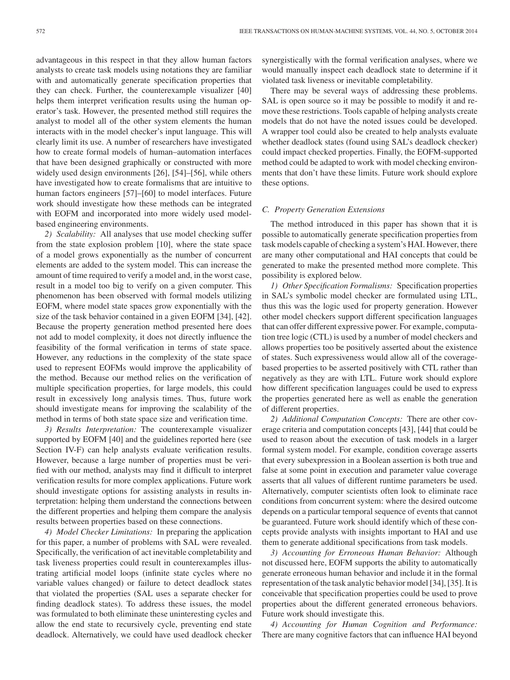advantageous in this respect in that they allow human factors analysts to create task models using notations they are familiar with and automatically generate specification properties that they can check. Further, the counterexample visualizer [40] helps them interpret verification results using the human operator's task. However, the presented method still requires the analyst to model all of the other system elements the human interacts with in the model checker's input language. This will clearly limit its use. A number of researchers have investigated how to create formal models of human–automation interfaces that have been designed graphically or constructed with more widely used design environments [26], [54]–[56], while others have investigated how to create formalisms that are intuitive to human factors engineers [57]–[60] to model interfaces. Future work should investigate how these methods can be integrated with EOFM and incorporated into more widely used modelbased engineering environments.

*2) Scalability:* All analyses that use model checking suffer from the state explosion problem [10], where the state space of a model grows exponentially as the number of concurrent elements are added to the system model. This can increase the amount of time required to verify a model and, in the worst case, result in a model too big to verify on a given computer. This phenomenon has been observed with formal models utilizing EOFM, where model state spaces grow exponentially with the size of the task behavior contained in a given EOFM [34], [42]. Because the property generation method presented here does not add to model complexity, it does not directly influence the feasibility of the formal verification in terms of state space. However, any reductions in the complexity of the state space used to represent EOFMs would improve the applicability of the method. Because our method relies on the verification of multiple specification properties, for large models, this could result in excessively long analysis times. Thus, future work should investigate means for improving the scalability of the method in terms of both state space size and verification time.

*3) Results Interpretation:* The counterexample visualizer supported by EOFM [40] and the guidelines reported here (see Section IV-F) can help analysts evaluate verification results. However, because a large number of properties must be verified with our method, analysts may find it difficult to interpret verification results for more complex applications. Future work should investigate options for assisting analysts in results interpretation: helping them understand the connections between the different properties and helping them compare the analysis results between properties based on these connections.

*4) Model Checker Limitations:* In preparing the application for this paper, a number of problems with SAL were revealed. Specifically, the verification of act inevitable completability and task liveness properties could result in counterexamples illustrating artificial model loops (infinite state cycles where no variable values changed) or failure to detect deadlock states that violated the properties (SAL uses a separate checker for finding deadlock states). To address these issues, the model was formulated to both eliminate these uninteresting cycles and allow the end state to recursively cycle, preventing end state deadlock. Alternatively, we could have used deadlock checker synergistically with the formal verification analyses, where we would manually inspect each deadlock state to determine if it violated task liveness or inevitable completability.

There may be several ways of addressing these problems. SAL is open source so it may be possible to modify it and remove these restrictions. Tools capable of helping analysts create models that do not have the noted issues could be developed. A wrapper tool could also be created to help analysts evaluate whether deadlock states (found using SAL's deadlock checker) could impact checked properties. Finally, the EOFM-supported method could be adapted to work with model checking environments that don't have these limits. Future work should explore these options.

#### *C. Property Generation Extensions*

The method introduced in this paper has shown that it is possible to automatically generate specification properties from task models capable of checking a system's HAI. However, there are many other computational and HAI concepts that could be generated to make the presented method more complete. This possibility is explored below.

*1) Other Specification Formalisms:* Specification properties in SAL's symbolic model checker are formulated using LTL, thus this was the logic used for property generation. However other model checkers support different specification languages that can offer different expressive power. For example, computation tree logic (CTL) is used by a number of model checkers and allows properties too be positively asserted about the existence of states. Such expressiveness would allow all of the coveragebased properties to be asserted positively with CTL rather than negatively as they are with LTL. Future work should explore how different specification languages could be used to express the properties generated here as well as enable the generation of different properties.

*2) Additional Computation Concepts:* There are other coverage criteria and computation concepts [43], [44] that could be used to reason about the execution of task models in a larger formal system model. For example, condition coverage asserts that every subexpression in a Boolean assertion is both true and false at some point in execution and parameter value coverage asserts that all values of different runtime parameters be used. Alternatively, computer scientists often look to eliminate race conditions from concurrent system: where the desired outcome depends on a particular temporal sequence of events that cannot be guaranteed. Future work should identify which of these concepts provide analysts with insights important to HAI and use them to generate additional specifications from task models.

*3) Accounting for Erroneous Human Behavior:* Although not discussed here, EOFM supports the ability to automatically generate erroneous human behavior and include it in the formal representation of the task analytic behavior model [34], [35]. It is conceivable that specification properties could be used to prove properties about the different generated erroneous behaviors. Future work should investigate this.

*4) Accounting for Human Cognition and Performance:* There are many cognitive factors that can influence HAI beyond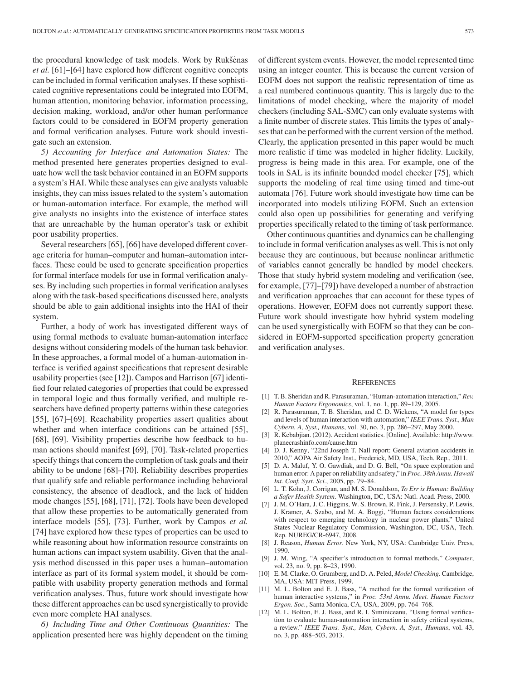the procedural knowledge of task models. Work by Rukšėnas *et al.* [61]–[64] have explored how different cognitive concepts can be included in formal verification analyses. If these sophisticated cognitive representations could be integrated into EOFM, human attention, monitoring behavior, information processing, decision making, workload, and/or other human performance factors could to be considered in EOFM property generation and formal verification analyses. Future work should investigate such an extension.

*5) Accounting for Interface and Automation States:* The method presented here generates properties designed to evaluate how well the task behavior contained in an EOFM supports a system's HAI. While these analyses can give analysts valuable insights, they can miss issues related to the system's automation or human-automation interface. For example, the method will give analysts no insights into the existence of interface states that are unreachable by the human operator's task or exhibit poor usability properties.

Several researchers [65], [66] have developed different coverage criteria for human–computer and human–automation interfaces. These could be used to generate specification properties for formal interface models for use in formal verification analyses. By including such properties in formal verification analyses along with the task-based specifications discussed here, analysts should be able to gain additional insights into the HAI of their system.

Further, a body of work has investigated different ways of using formal methods to evaluate human-automation interface designs without considering models of the human task behavior. In these approaches, a formal model of a human-automation interface is verified against specifications that represent desirable usability properties (see [12]). Campos and Harrison [67] identified four related categories of properties that could be expressed in temporal logic and thus formally verified, and multiple researchers have defined property patterns within these categories [55], [67]–[69]. Reachability properties assert qualities about whether and when interface conditions can be attained [55], [68], [69]. Visibility properties describe how feedback to human actions should manifest [69], [70]. Task-related properties specify things that concern the completion of task goals and their ability to be undone [68]–[70]. Reliability describes properties that qualify safe and reliable performance including behavioral consistency, the absence of deadlock, and the lack of hidden mode changes [55], [68], [71], [72]. Tools have been developed that allow these properties to be automatically generated from interface models [55], [73]. Further, work by Campos *et al.* [74] have explored how these types of properties can be used to while reasoning about how information resource constraints on human actions can impact system usability. Given that the analysis method discussed in this paper uses a human–automation interface as part of its formal system model, it should be compatible with usability property generation methods and formal verification analyses. Thus, future work should investigate how these different approaches can be used synergistically to provide even more complete HAI analyses.

*6) Including Time and Other Continuous Quantities:* The application presented here was highly dependent on the timing of different system events. However, the model represented time using an integer counter. This is because the current version of EOFM does not support the realistic representation of time as a real numbered continuous quantity. This is largely due to the limitations of model checking, where the majority of model checkers (including SAL-SMC) can only evaluate systems with a finite number of discrete states. This limits the types of analyses that can be performed with the current version of the method. Clearly, the application presented in this paper would be much more realistic if time was modeled in higher fidelity. Luckily, progress is being made in this area. For example, one of the tools in SAL is its infinite bounded model checker [75], which supports the modeling of real time using timed and time-out automata [76]. Future work should investigate how time can be incorporated into models utilizing EOFM. Such an extension could also open up possibilities for generating and verifying properties specifically related to the timing of task performance.

Other continuous quantities and dynamics can be challenging to include in formal verification analyses as well. This is not only because they are continuous, but because nonlinear arithmetic of variables cannot generally be handled by model checkers. Those that study hybrid system modeling and verification (see, for example, [77]–[79]) have developed a number of abstraction and verification approaches that can account for these types of operations. However, EOFM does not currently support these. Future work should investigate how hybrid system modeling can be used synergistically with EOFM so that they can be considered in EOFM-supported specification property generation and verification analyses.

#### **REFERENCES**

- [1] T. B. Sheridan and R. Parasuraman, "Human-automation interaction," *Rev. Human Factors Ergonomics*, vol. 1, no. 1, pp. 89–129, 2005.
- [2] R. Parasuraman, T. B. Sheridan, and C. D. Wickens, "A model for types and levels of human interaction with automation," *IEEE Trans. Syst., Man Cybern. A, Syst., Humans*, vol. 30, no. 3, pp. 286–297, May 2000.
- [3] R. Kebabjian. (2012). Accident statistics. [Online]. Available: http://www. planecrashinfo.com/cause.htm
- [4] D. J. Kenny, "22nd Joseph T. Nall report: General aviation accidents in 2010," AOPA Air Safety Inst., Frederick, MD, USA, Tech. Rep., 2011.
- [5] D. A. Maluf, Y. O. Gawdiak, and D. G. Bell, "On space exploration and human error: A paper on reliability and safety," in *Proc. 38th Annu. Hawaii Int. Conf. Syst. Sci.*, 2005, pp. 79–84.
- [6] L. T. Kohn, J. Corrigan, and M. S. Donaldson, *To Err is Human: Building a Safer Health System*. Washington, DC, USA: Natl. Acad. Press, 2000.
- [7] J. M. O'Hara, J. C. Higgins, W. S. Brown, R. Fink, J. Persensky, P. Lewis, J. Kramer, A. Szabo, and M. A. Boggi, "Human factors considerations with respect to emerging technology in nuclear power plants," United States Nuclear Regulatory Commission, Washington, DC, USA, Tech. Rep. NUREG/CR-6947, 2008.
- [8] J. Reason, *Human Error*. New York, NY, USA: Cambridge Univ. Press, 1990.
- [9] J. M. Wing, "A specifier's introduction to formal methods," *Computer*, vol. 23, no. 9, pp. 8–23, 1990.
- [10] E. M. Clarke, O. Grumberg, and D. A. Peled, *Model Checking*. Cambridge, MA, USA: MIT Press, 1999.
- [11] M. L. Bolton and E. J. Bass, "A method for the formal verification of human interactive systems," in *Proc. 53rd Annu. Meet. Human Factors Ergon. Soc.*, Santa Monica, CA, USA, 2009, pp. 764–768.
- [12] M. L. Bolton, E. J. Bass, and R. I. Siminiceanu, "Using formal verification to evaluate human-automation interaction in safety critical systems, a review." *IEEE Trans. Syst., Man, Cybern. A, Syst., Humans*, vol. 43, no. 3, pp. 488–503, 2013.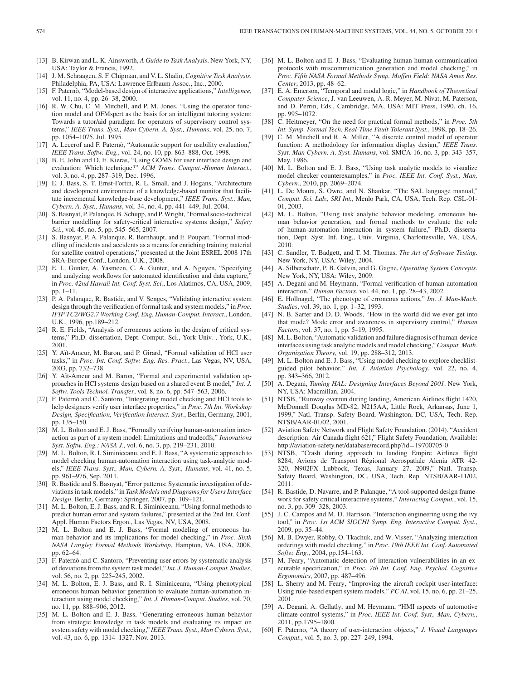- [13] B. Kirwan and L. K. Ainsworth, *A Guide to Task Analysis*. New York, NY, USA: Taylor & Francis, 1992.
- [14] J. M. Schraagen, S. F. Chipman, and V. L. Shalin, *Cognitive Task Analysis*. Philadelphia, PA, USA: Lawrence Erlbaum Assoc., Inc., 2000.
- [15] F. Paternò, "Model-based design of interactive applications," *Intelligence*, vol. 11, no. 4, pp. 26–38, 2000.
- [16] R. W. Chu, C. M. Mitchell, and P. M. Jones, "Using the operator function model and OFMspert as the basis for an intelligent tutoring system: Towards a tutor/aid paradigm for operators of supervisory control systems," *IEEE Trans. Syst., Man Cybern. A, Syst., Humans*, vol. 25, no. 7, pp. 1054–1075, Jul. 1995.
- [17] A. Lecerof and F. Paternò, "Automatic support for usability evaluation," *IEEE Trans. Softw. Eng.*, vol. 24, no. 10, pp. 863–888, Oct. 1998.
- [18] B. E. John and D. E. Kieras, "Using GOMS for user interface design and evaluation: Which technique?" *ACM Trans. Comput.-Human Interact.*, vol. 3, no. 4, pp. 287–319, Dec. 1996.
- [19] E. J. Bass, S. T. Ernst-Fortin, R. L. Small, and J. Hogans, "Architecture and development environment of a knowledge-based monitor that facilitate incremental knowledge-base development," *IEEE Trans. Syst., Man, Cybern. A, Syst., Humans*, vol. 34, no. 4, pp. 441–449, Jul. 2004.
- [20] S. Basnyat, P. Palanque, B. Schupp, and P. Wright, "Formal socio-technical barrier modelling for safety-critical interactive systems design," *Safety Sci.*, vol. 45, no. 5, pp. 545–565, 2007.
- [21] S. Basnyat, P. A. Palanque, R. Bernhaupt, and E. Poupart, "Formal modelling of incidents and accidents as a means for enriching training material for satellite control operations," presented at the Joint ESREL 2008 17th SRA-Europe Conf., London, U.K., 2008.
- [22] E. L. Gunter, A. Yasmeen, C. A. Gunter, and A. Nguyen, "Specifying and analyzing workflows for automated identification and data capture, in *Proc. 42nd Hawaii Int. Conf. Syst. Sci.*, Los Alatimos, CA, USA, 2009, pp. 1–11.
- [23] P. A. Palanque, R. Bastide, and V. Senges, "Validating interactive system design through the verification of formal task and system models," in *Proc. IFIP TC2/WG2.7 Working Conf. Eng. Human-Comput. Interact.*, London, U.K., 1996, pp.189–212.
- [24] R. E. Fields, "Analysis of erroneous actions in the design of critical systems," Ph.D. dissertation, Dept. Comput. Sci., York Univ. , York, U.K., 2001.
- [25] Y. Aït-Ameur, M. Baron, and P. Girard, "Formal validation of HCI user tasks," in *Proc. Int. Conf. Softw. Eng. Res. Pract.*, Las Vegas, NV, USA, 2003, pp. 732–738.
- [26] Y. Aït-Ameur and M. Baron, "Formal and experimental validation approaches in HCI systems design based on a shared event B model," *Int. J. Softw. Tools Technol. Transfer*, vol. 8, no. 6, pp. 547–563, 2006.
- [27] F. Paternò and C. Santoro, "Integrating model checking and HCI tools to help designers verify user interface properties," in *Proc. 7th Int. Workshop Design, Specification, Verification Interact. Syst.*, Berlin, Germany, 2001, pp. 135–150.
- [28] M. L. Bolton and E. J. Bass, "Formally verifying human-automation interaction as part of a system model: Limitations and tradeoffs," *Innovations Syst. Softw. Eng.: NASA J.*, vol. 6, no. 3, pp. 219–231, 2010.
- [29] M. L. Bolton, R. I. Siminiceanu, and E. J. Bass, "A systematic approach to model checking human-automation interaction using task-analytic models," *IEEE Trans. Syst., Man, Cybern. A, Syst., Humans*, vol. 41, no. 5, pp. 961–976, Sep. 2011.
- [30] R. Bastide and S. Basnyat, "Error patterns: Systematic investigation of deviations in task models," in *Task Models and Diagrams for Users Interface Design*. Berlin, Germany: Springer, 2007, pp. 109–121.
- [31] M. L. Bolton, E. J. Bass, and R. I. Siminiceanu, "Using formal methods to predict human error and system failures," presented at the 2nd Int. Conf. Appl. Human Factors Ergon., Las Vegas, NV, USA, 2008.
- [32] M. L. Bolton and E. J. Bass, "Formal modeling of erroneous human behavior and its implications for model checking," in *Proc. Sixth NASA Langley Formal Methods Workshop*, Hampton, VA, USA, 2008, pp. 62–64.
- [33] F. Paternò and C. Santoro, "Preventing user errors by systematic analysis of deviations from the system task model," *Int. J. Human-Comput. Studies*, vol. 56, no. 2, pp. 225–245, 2002.
- [34] M. L. Bolton, E. J. Bass, and R. I. Siminiceanu, "Using phenotypical erroneous human behavior generation to evaluate human-automation interaction using model checking," *Int. J. Human-Comput. Studies*, vol. 70, no. 11, pp. 888–906, 2012.
- [35] M. L. Bolton and E. J. Bass, "Generating erroneous human behavior from strategic knowledge in task models and evaluating its impact on system safety with model checking," *IEEE Trans. Syst., Man Cybern. Syst.*, vol. 43, no. 6, pp. 1314–1327, Nov. 2013.
- [36] M. L. Bolton and E. J. Bass, "Evaluating human-human communication protocols with miscommunication generation and model checking," in *Proc. Fifth NASA Formal Methods Symp. Moffett Field: NASA Ames Res. Center*, 2013, pp. 48–62.
- [37] E. A. Emerson, "Temporal and modal logic," in *Handbook of Theoretical Computer Science*, J. van Leeuwen, A. R. Meyer, M. Nivat, M. Paterson, and D. Perrin, Eds., Cambridge, MA, USA: MIT Press, 1990, ch. 16, pp. 995–1072.
- [38] C. Heitmeyer, "On the need for practical formal methods," in *Proc. 5th Int. Symp. Formal Tech. Real-Time Fault-Tolerant Syst.*, 1998, pp. 18–26.
- [39] C. M. Mitchell and R. A. Miller, "A discrete control model of operator function: A methodology for information display design," *IEEE Trans. Syst. Man Cybern. A, Syst. Humans*, vol. SMCA-16, no. 3, pp. 343–357, May. 1986.
- [40] M. L. Bolton and E. J. Bass, "Using task analytic models to visualize model checker counterexamples," in *Proc. IEEE Int. Conf. Syst., Man, Cybern.*, 2010, pp. 2069–2074.
- [41] L. De Moura, S. Owre, and N. Shankar, "The SAL language manual," *Comput. Sci. Lab., SRI Int.*, Menlo Park, CA, USA, Tech. Rep. CSL-01- 01, 2003.
- [42] M. L. Bolton, "Using task analytic behavior modeling, erroneous human behavior generation, and formal methods to evaluate the role of human-automation interaction in system failure," Ph.D. dissertation, Dept. Syst. Inf. Eng., Univ. Virginia, Charlottesville, VA, USA, 2010.
- [43] C. Sandler, T. Badgett, and T. M. Thomas, *The Art of Software Testing*. New York, NY, USA: Wiley, 2004.
- [44] A. Silberschatz, P. B. Galvin, and G. Gagne, *Operating System Concepts*. New York, NY, USA: Wiley, 2009.
- [45] A. Degani and M. Heymann, "Formal verification of human-automation interaction," *Human Factors*, vol. 44, no. 1, pp. 28–43, 2002.
- [46] E. Hollnagel, "The phenotype of erroneous actions," *Int. J. Man-Mach. Studies*, vol. 39, no. 1, pp. 1–32, 1993.
- [47] N. B. Sarter and D. D. Woods, "How in the world did we ever get into that mode? Mode error and awareness in supervisory control," *Human Factors*, vol. 37, no. 1, pp. 5–19, 1995.
- [48] M. L. Bolton, "Automatic validation and failure diagnosis of human-device interfaces using task analytic models and model checking," *Comput. Math. Organization Theory*, vol. 19, pp. 288–312, 2013.
- [49] M. L. Bolton and E. J. Bass, "Using model checking to explore checklistguided pilot behavior," *Int. J. Aviation Psychology*, vol. 22, no. 4, pp. 343–366, 2012.
- [50] A. Degani, *Taming HAL: Designing Interfaces Beyond 2001*. New York, NY, USA: Macmillan, 2004.
- [51] NTSB, "Runway overrun during landing, American Airlines flight 1420, McDonnell Douglas MD-82, N215AA, Little Rock, Arkansas, June 1, 1999," Natl. Transp. Safety Board, Washington, DC, USA, Tech. Rep. NTSB/AAR-01/02, 2001.
- [52] Aviation Safety Network and Flight Safety Foundation. (2014). "Accident description: Air Canada flight 621," Flight Safety Foundation, Available: http://aviation-safety.net/database/record.php?id=19700705-0
- [53] NTSB, "Crash during approach to landing Empire Airlines flight 8284, Avions de Transport Regional Aerospatiale Alenia ATR 42- ´ 320, N902FX Lubbock, Texas, January 27, 2009," Natl. Transp. Safety Board, Washington, DC, USA, Tech. Rep. NTSB/AAR-11/02, 2011.
- [54] R. Bastide, D. Navarre, and P. Palanque, "A tool-supported design framework for safety critical interactive systems," *Interacting Comput.*, vol. 15, no. 3, pp. 309–328, 2003.
- [55] J. C. Campos and M. D. Harrison, "Interaction engineering using the ivy tool," in *Proc. 1st ACM SIGCHI Symp. Eng. Interactive Comput. Syst.*, 2009, pp. 35–44.
- [56] M. B. Dwyer, Robby, O. Tkachuk, and W. Visser, "Analyzing interaction orderings with model checking," in *Proc. 19th IEEE Int. Conf. Automated Softw. Eng.*, 2004, pp.154–163.
- [57] M. Feary, "Automatic detection of interaction vulnerabilities in an executable specification," in *Proc. 7th Int. Conf. Eng. Psychol. Cognitive Ergonomics*, 2007, pp. 487–496.
- [58] L. Sherry and M. Feary, "Improving the aircraft cockpit user-interface: Using rule-based expert system models," *PC AI*, vol. 15, no. 6, pp. 21–25, 2001.
- [59] A. Degani, A. Gellatly, and M. Heymann, "HMI aspects of automotive climate control systems," in *Proc. IEEE Int. Conf. Syst., Man, Cybern.*, 2011, pp.1795–1800.
- [60] F. Paterno, "A theory of user-interaction objects," *J. Visual Languages Comput.*, vol. 5, no. 3, pp. 227–249, 1994.